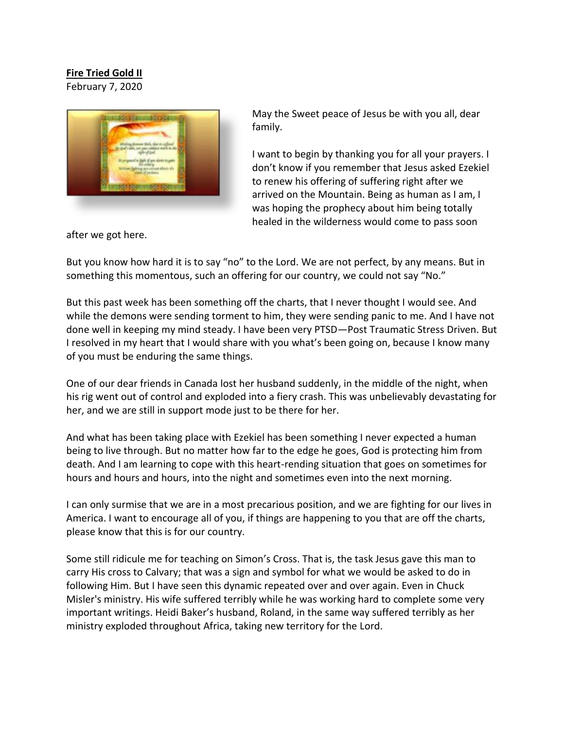## **Fire Tried Gold II**

February 7, 2020



May the Sweet peace of Jesus be with you all, dear family.

I want to begin by thanking you for all your prayers. I don't know if you remember that Jesus asked Ezekiel to renew his offering of suffering right after we arrived on the Mountain. Being as human as I am, I was hoping the prophecy about him being totally healed in the wilderness would come to pass soon

after we got here.

But you know how hard it is to say "no" to the Lord. We are not perfect, by any means. But in something this momentous, such an offering for our country, we could not say "No."

But this past week has been something off the charts, that I never thought I would see. And while the demons were sending torment to him, they were sending panic to me. And I have not done well in keeping my mind steady. I have been very PTSD—Post Traumatic Stress Driven. But I resolved in my heart that I would share with you what's been going on, because I know many of you must be enduring the same things.

One of our dear friends in Canada lost her husband suddenly, in the middle of the night, when his rig went out of control and exploded into a fiery crash. This was unbelievably devastating for her, and we are still in support mode just to be there for her.

And what has been taking place with Ezekiel has been something I never expected a human being to live through. But no matter how far to the edge he goes, God is protecting him from death. And I am learning to cope with this heart-rending situation that goes on sometimes for hours and hours and hours, into the night and sometimes even into the next morning.

I can only surmise that we are in a most precarious position, and we are fighting for our lives in America. I want to encourage all of you, if things are happening to you that are off the charts, please know that this is for our country.

Some still ridicule me for teaching on Simon's Cross. That is, the task Jesus gave this man to carry His cross to Calvary; that was a sign and symbol for what we would be asked to do in following Him. But I have seen this dynamic repeated over and over again. Even in Chuck Misler's ministry. His wife suffered terribly while he was working hard to complete some very important writings. Heidi Baker's husband, Roland, in the same way suffered terribly as her ministry exploded throughout Africa, taking new territory for the Lord.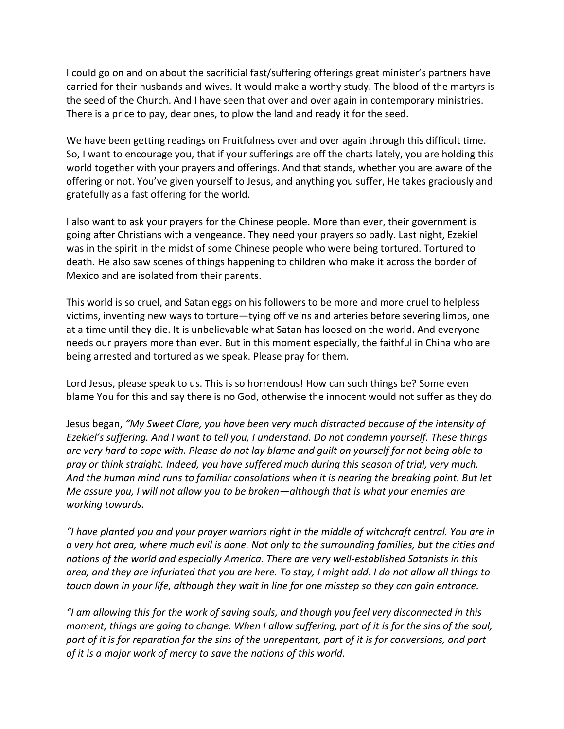I could go on and on about the sacrificial fast/suffering offerings great minister's partners have carried for their husbands and wives. It would make a worthy study. The blood of the martyrs is the seed of the Church. And I have seen that over and over again in contemporary ministries. There is a price to pay, dear ones, to plow the land and ready it for the seed.

We have been getting readings on Fruitfulness over and over again through this difficult time. So, I want to encourage you, that if your sufferings are off the charts lately, you are holding this world together with your prayers and offerings. And that stands, whether you are aware of the offering or not. You've given yourself to Jesus, and anything you suffer, He takes graciously and gratefully as a fast offering for the world.

I also want to ask your prayers for the Chinese people. More than ever, their government is going after Christians with a vengeance. They need your prayers so badly. Last night, Ezekiel was in the spirit in the midst of some Chinese people who were being tortured. Tortured to death. He also saw scenes of things happening to children who make it across the border of Mexico and are isolated from their parents.

This world is so cruel, and Satan eggs on his followers to be more and more cruel to helpless victims, inventing new ways to torture—tying off veins and arteries before severing limbs, one at a time until they die. It is unbelievable what Satan has loosed on the world. And everyone needs our prayers more than ever. But in this moment especially, the faithful in China who are being arrested and tortured as we speak. Please pray for them.

Lord Jesus, please speak to us. This is so horrendous! How can such things be? Some even blame You for this and say there is no God, otherwise the innocent would not suffer as they do.

Jesus began, *"My Sweet Clare, you have been very much distracted because of the intensity of Ezekiel's suffering. And I want to tell you, I understand. Do not condemn yourself. These things are very hard to cope with. Please do not lay blame and guilt on yourself for not being able to pray or think straight. Indeed, you have suffered much during this season of trial, very much. And the human mind runs to familiar consolations when it is nearing the breaking point. But let Me assure you, I will not allow you to be broken—although that is what your enemies are working towards.*

*"I have planted you and your prayer warriors right in the middle of witchcraft central. You are in a very hot area, where much evil is done. Not only to the surrounding families, but the cities and nations of the world and especially America. There are very well-established Satanists in this area, and they are infuriated that you are here. To stay, I might add. I do not allow all things to touch down in your life, although they wait in line for one misstep so they can gain entrance.*

*"I am allowing this for the work of saving souls, and though you feel very disconnected in this moment, things are going to change. When I allow suffering, part of it is for the sins of the soul, part of it is for reparation for the sins of the unrepentant, part of it is for conversions, and part of it is a major work of mercy to save the nations of this world.*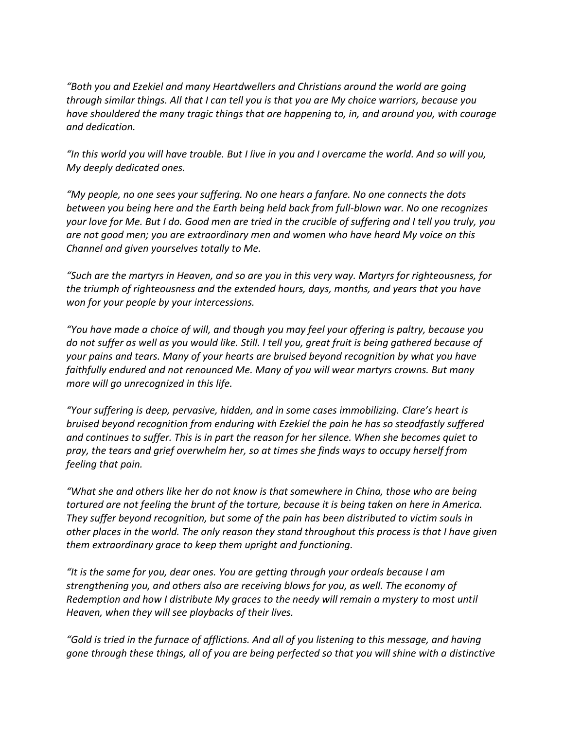*"Both you and Ezekiel and many Heartdwellers and Christians around the world are going through similar things. All that I can tell you is that you are My choice warriors, because you have shouldered the many tragic things that are happening to, in, and around you, with courage and dedication.* 

*"In this world you will have trouble. But I live in you and I overcame the world. And so will you, My deeply dedicated ones.*

*"My people, no one sees your suffering. No one hears a fanfare. No one connects the dots between you being here and the Earth being held back from full-blown war. No one recognizes your love for Me. But I do. Good men are tried in the crucible of suffering and I tell you truly, you are not good men; you are extraordinary men and women who have heard My voice on this Channel and given yourselves totally to Me.* 

*"Such are the martyrs in Heaven, and so are you in this very way. Martyrs for righteousness, for the triumph of righteousness and the extended hours, days, months, and years that you have won for your people by your intercessions.*

*"You have made a choice of will, and though you may feel your offering is paltry, because you do not suffer as well as you would like. Still. I tell you, great fruit is being gathered because of your pains and tears. Many of your hearts are bruised beyond recognition by what you have faithfully endured and not renounced Me. Many of you will wear martyrs crowns. But many more will go unrecognized in this life.* 

*"Your suffering is deep, pervasive, hidden, and in some cases immobilizing. Clare's heart is bruised beyond recognition from enduring with Ezekiel the pain he has so steadfastly suffered and continues to suffer. This is in part the reason for her silence. When she becomes quiet to pray, the tears and grief overwhelm her, so at times she finds ways to occupy herself from feeling that pain.*

*"What she and others like her do not know is that somewhere in China, those who are being tortured are not feeling the brunt of the torture, because it is being taken on here in America. They suffer beyond recognition, but some of the pain has been distributed to victim souls in other places in the world. The only reason they stand throughout this process is that I have given them extraordinary grace to keep them upright and functioning.* 

*"It is the same for you, dear ones. You are getting through your ordeals because I am strengthening you, and others also are receiving blows for you, as well. The economy of Redemption and how I distribute My graces to the needy will remain a mystery to most until Heaven, when they will see playbacks of their lives.* 

*"Gold is tried in the furnace of afflictions. And all of you listening to this message, and having gone through these things, all of you are being perfected so that you will shine with a distinctive*